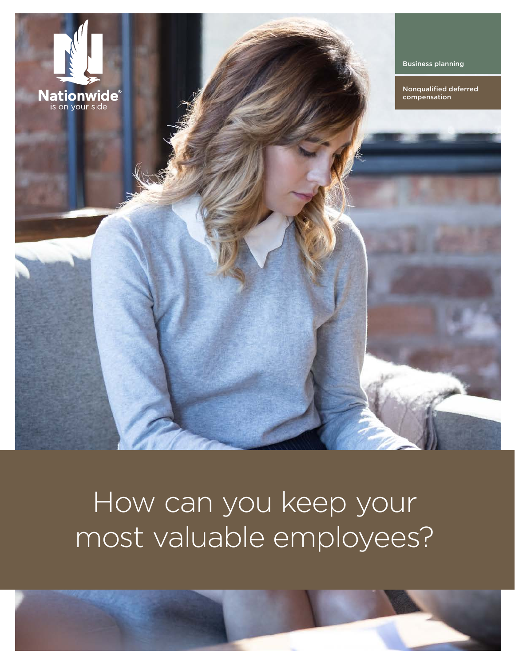

## How can you keep your most valuable employees?

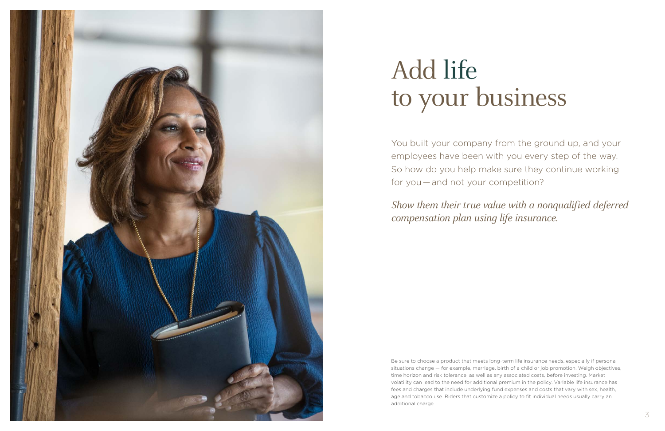

# Add life to your business

You built your company from the ground up, and your employees have been with you every step of the way. So how do you help make sure they continue working for you — and not your competition?

# Show them their true value with a nonqualified deferred

compensation plan using life insurance.

Be sure to choose a product that meets long-term life insurance needs, especially if personal situations change — for example, marriage, birth of a child or job promotion. Weigh objectives, time horizon and risk tolerance, as well as any associated costs, before investing. Market volatility can lead to the need for additional premium in the policy. Variable life insurance has fees and charges that include underlying fund expenses and costs that vary with sex, health, age and tobacco use. Riders that customize a policy to fit individual needs usually carry an additional charge.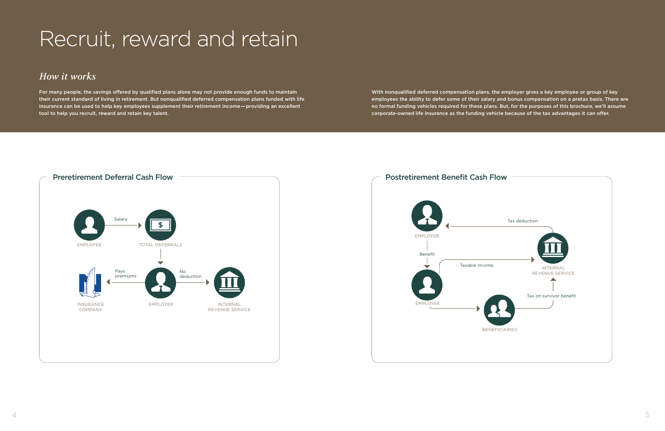## Recruit, reward and retain

## **How it works**

For many people, the savings offered by qualified plans alone may not provide enough funds to maintain their current standard of living in retirement. But nonqualified deferred compensation plans funded with life insurance can be used to help key employees supplement their retirement income — providing an excellent tool to help you recruit, reward and retain key talent.



With nonqualified deferred compensation plans, the employer gives a key employee or group of key employees the ability to defer some of their salary and bonus compensation on a pretax basis. There are no formal funding vehicles required for these plans. But, for the purposes of this brochure, we'll assume corporate-owned life insurance as the funding vehicle because of the tax advantages it can offer.

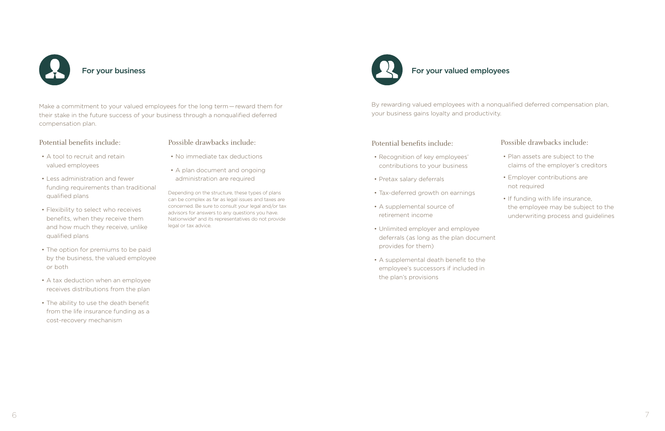

Make a commitment to your valued employees for the long term — reward them for their stake in the future success of your business through a nonqualified deferred compensation plan.

### Potential benefits include:

- A tool to recruit and retain valued employees
- Less administration and fewer funding requirements than traditional qualified plans
- Flexibility to select who receives benefits, when they receive them and how much they receive, unlike qualified plans
- The option for premiums to be paid by the business, the valued employee or both
- A tax deduction when an employee receives distributions from the plan
- The ability to use the death benefit from the life insurance funding as a cost-recovery mechanism

### Possible drawbacks include:

- No immediate tax deductions
- A plan document and ongoing administration are required

Depending on the structure, these types of plans can be complex as far as legal issues and taxes are concerned. Be sure to consult your legal and/or tax advisors for answers to any questions you have. Nationwide® and its representatives do not provide legal or tax advice.



For your valued employees

By rewarding valued employees with a nonqualified deferred compensation plan, your business gains loyalty and productivity.

### Potential benefits include:

- Recognition of key employees' contributions to your business
- Pretax salary deferrals
- Tax-deferred growth on earnings
- A supplemental source of retirement income
- Unlimited employer and employee deferrals (as long as the plan document provides for them)
- A supplemental death benefit to the employee's successors if included in the plan's provisions

## Possible drawbacks include:

- Plan assets are subject to the claims of the employer's creditors
- Employer contributions are not required
- If funding with life insurance, the employee may be subject to the underwriting process and guidelines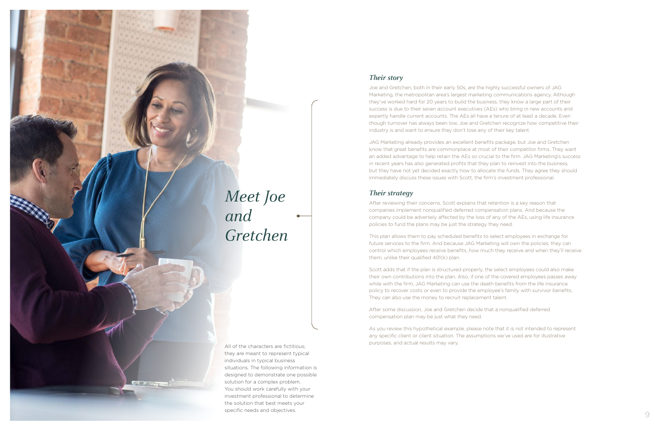

**COLORED COMPANY** 

they are meant to represent typical individuals in typical business situations. The following information is designed to demonstrate one possible solution for a complex problem. You should work carefully with your investment professional to determine the solution that best meets your specific needs and objectives.

### **Their story**

Joe and Gretchen, both in their early 50s, are the highly successful owners of JAG Marketing, the metropolitan area's largest marketing communications agency. Although they've worked hard for 20 years to build the business, they know a large part of their success is due to their seven account executives (AEs) who bring in new accounts and expertly handle current accounts. The AEs all have a tenure of at least a decade. Even though turnover has always been low, Joe and Gretchen recognize how competitive their industry is and want to ensure they don't lose any of their key talent.

JAG Marketing already provides an excellent benefits package, but Joe and Gretchen know that great benefits are commonplace at most of their competitor firms. They want an added advantage to help retain the AEs so crucial to the firm. JAG Marketing's success in recent years has also generated profits that they plan to reinvest into the business, but they have not yet decided exactly how to allocate the funds. They agree they should immediately discuss these issues with Scott, the firm's investment professional.

## **Their strategy**

After reviewing their concerns, Scott explains that retention is a key reason that companies implement nonqualified deferred compensation plans. And because the company could be adversely affected by the loss of any of the AEs, using life insurance policies to fund the plans may be just the strategy they need.

This plan allows them to pay scheduled benefits to select employees in exchange for future services to the firm. And because JAG Marketing will own the policies, they can control which employees receive benefits, how much they receive and when they'll receive them, unlike their qualified 401(k) plan.

Scott adds that if the plan is structured properly, the select employees could also make their own contributions into the plan. Also, if one of the covered employees passes away while with the firm, JAG Marketing can use the death benefits from the life insurance policy to recover costs or even to provide the employee's family with survivor benefits. They can also use the money to recruit replacement talent.

After some discussion, Joe and Gretchen decide that a nonqualified deferred compensation plan may be just what they need.

As you review this hypothetical example, please note that it is not intended to represent any specific client or client situation. The assumptions we've used are for illustrative purposes, and actual results may vary.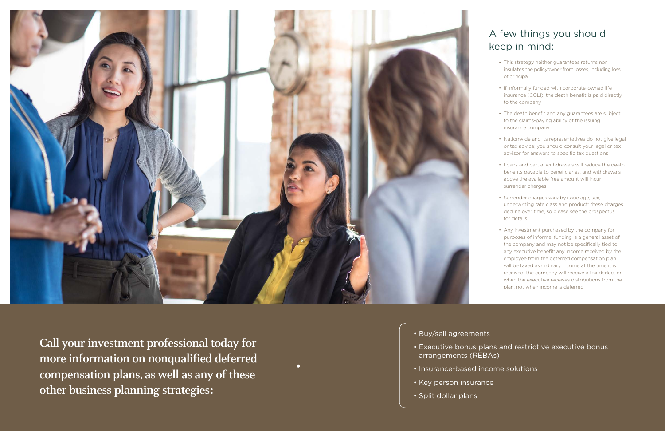## A few things you should keep in mind:

- This strategy neither guarantees returns nor insulates the policyowner from losses, including loss of principal
- If informally funded with corporate-owned life insurance (COLI), the death benefit is paid directly to the company
- The death benefit and any guarantees are subject to the claims-paying ability of the issuing insurance company
- Nationwide and its representatives do not give legal or tax advice; you should consult your legal or tax advisor for answers to specific tax questions
- Loans and partial withdrawals will reduce the death benefits payable to beneficiaries, and withdrawals above the available free amount will incur surrender charges
- Surrender charges vary by issue age, sex, underwriting rate class and product; these charges decline over time, so please see the prospectus for details
- Any investment purchased by the company for purposes of informal funding is a general asset of the company and may not be specifically tied to any executive benefit; any income received by the employee from the deferred compensation plan will be taxed as ordinary income at the time it is received; the company will receive a tax deduction when the executive receives distributions from the plan, not when income is deferred



**Call your investment professional today for more information on nonqualified deferred compensation plans, as well as any of these other business planning strategies:**

• Executive bonus plans and restrictive executive bonus

- Buy/sell agreements
- arrangements (REBAs)
- Insurance-based income solutions
- Key person insurance
- Split dollar plans